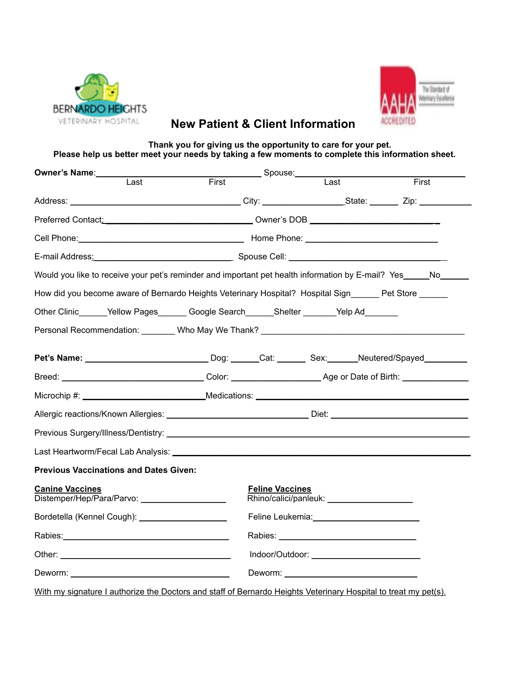



## **New Patient & Client Information**

**Thank you for giving us the opportunity to care for your pet. Please help us better meet your needs by taking a few moments to complete this information sheet.**

| Owner's Name:_________                                                                                                                                                                                                         |                                                                                                                                                                                                                                     |                          |       |
|--------------------------------------------------------------------------------------------------------------------------------------------------------------------------------------------------------------------------------|-------------------------------------------------------------------------------------------------------------------------------------------------------------------------------------------------------------------------------------|--------------------------|-------|
| Last                                                                                                                                                                                                                           | First                                                                                                                                                                                                                               | $\overline{\text{Last}}$ | First |
|                                                                                                                                                                                                                                |                                                                                                                                                                                                                                     |                          |       |
|                                                                                                                                                                                                                                | Preferred Contact: National Content of Content Content of Content Content Content Content Content Content Content Content Content Content Content Content Content Content Content Content Content Content Content Content Cont      |                          |       |
|                                                                                                                                                                                                                                | Cell Phone: <u>Cell Phone:</u> Cell Phone: Cell Phone: Cell Phone: Cell Phone: Cell Phone: Cell Phone: Cell Phone: Cell Phone: Cell Phone: Cell Phone: Cell Phone: Cell Phone: Cell Phone: Cell Phone: Cell Phone: Cell Phone: Cell |                          |       |
|                                                                                                                                                                                                                                |                                                                                                                                                                                                                                     |                          |       |
| Would you like to receive your pet's reminder and important pet health information by E-mail? Yes_____No__                                                                                                                     |                                                                                                                                                                                                                                     |                          |       |
| How did you become aware of Bernardo Heights Veterinary Hospital? Hospital Sign______ Pet Store ______                                                                                                                         |                                                                                                                                                                                                                                     |                          |       |
| Other Clinic______Yellow Pages_______ Google Search______Shelter _______Yelp Ad_______                                                                                                                                         |                                                                                                                                                                                                                                     |                          |       |
| Personal Recommendation: Who May We Thank? Communication and Recommendation:                                                                                                                                                   |                                                                                                                                                                                                                                     |                          |       |
| Pet's Name: ________________________________Dog: ______Cat: ________ Sex: ______Neutered/Spayed__________                                                                                                                      |                                                                                                                                                                                                                                     |                          |       |
|                                                                                                                                                                                                                                |                                                                                                                                                                                                                                     |                          |       |
|                                                                                                                                                                                                                                |                                                                                                                                                                                                                                     |                          |       |
| Allergic reactions/Known Allergies: __________________________________Diet: ________________________                                                                                                                           |                                                                                                                                                                                                                                     |                          |       |
|                                                                                                                                                                                                                                |                                                                                                                                                                                                                                     |                          |       |
| Last Heartworm/Fecal Lab Analysis: Labour March 2014 19:00 19:00 19:00 19:00 19:00 19:00 19:00 19:00 19:00 19:0                                                                                                                |                                                                                                                                                                                                                                     |                          |       |
| <b>Previous Vaccinations and Dates Given:</b>                                                                                                                                                                                  |                                                                                                                                                                                                                                     |                          |       |
| <b>Canine Vaccines</b>                                                                                                                                                                                                         | <b>Feline Vaccines</b>                                                                                                                                                                                                              |                          |       |
| Bordetella (Kennel Cough): ____________________                                                                                                                                                                                |                                                                                                                                                                                                                                     |                          |       |
| Rabies: National Assembly and the series of the series of the series of the series of the series of the series of the series of the series of the series of the series of the series of the series of the series of the series |                                                                                                                                                                                                                                     |                          |       |
|                                                                                                                                                                                                                                |                                                                                                                                                                                                                                     |                          |       |
| Deworm: the contract of the contract of the contract of the contract of the contract of the contract of the contract of the contract of the contract of the contract of the contract of the contract of the contract of the co |                                                                                                                                                                                                                                     |                          |       |
| With my signature I authorize the Doctors and staff of Bernardo Heights Veterinary Hospital to treat my pet(s).                                                                                                                |                                                                                                                                                                                                                                     |                          |       |